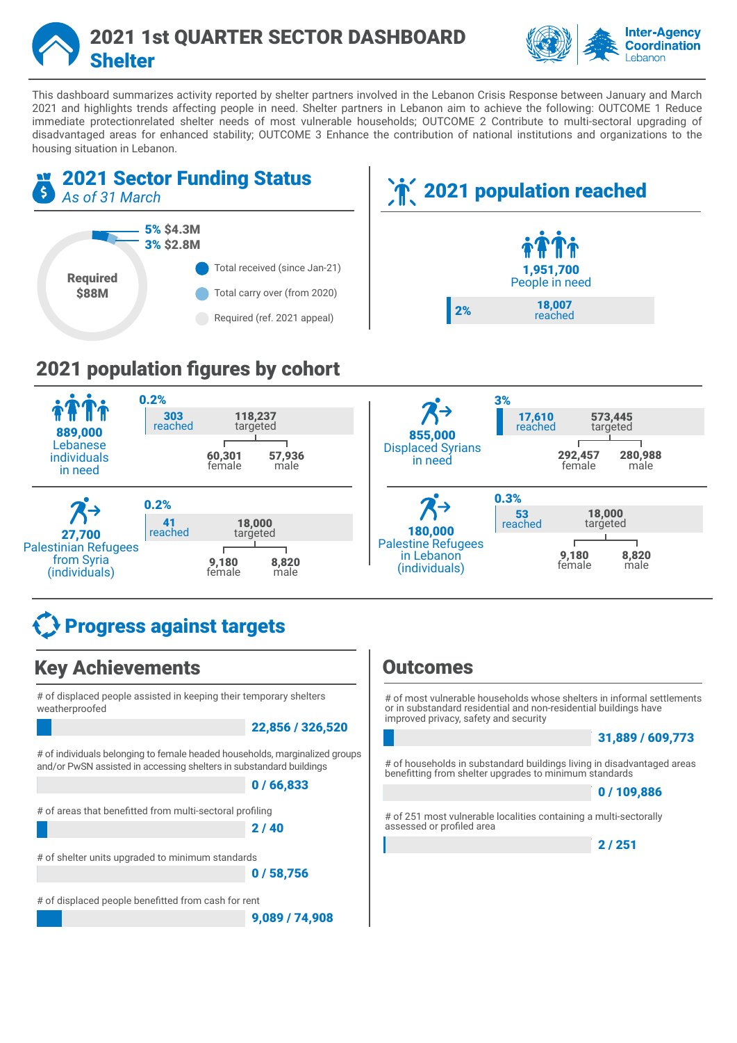



This dashboard summarizes activity reported by shelter partners involved in the Lebanon Crisis Response between January and March 2021 and highlights trends affecting people in need. Shelter partners in Lebanon aim to achieve the following: OUTCOME 1 Reduce immediate protectionrelated shelter needs of most vulnerable households; OUTCOME 2 Contribute to multi-sectoral upgrading of disadvantaged areas for enhanced stability; OUTCOME 3 Enhance the contribution of national institutions and organizations to the housing situation in Lebanon.



#### individuals in need 60,301 **60,301 57,936**<br>female male male

0.2% and  $\overline{A}$  and  $\overline{A}$  and  $\overline{A}$  and  $\overline{A}$  and  $\overline{A}$  and  $\overline{A}$  and  $\overline{A}$  and  $\overline{A}$  and  $\overline{A}$  and  $\overline{A}$  and  $\overline{A}$  and  $\overline{A}$  and  $\overline{A}$  and  $\overline{A}$  and  $\overline{A}$  and  $\overline{A}$  and  $\overline$ 53 18,000 41 18,000 reached d targeted targeted reached 180,000 reached d targeted targeted 27,700 Palestine Refugees Palestinian Refugees  $\overline{1}$ **9,180 8,820**<br>female male 9,180 in Lebanon from Syria 9,180 8,820 male (individuals) (individuals) female male

# $\frac{1}{2}$  Progress against targets

## Key Achievements

0 20 40 60 80100

# of displaced people assisted in keeping their temporary shelters weatherproofed

# of individuals belonging to female headed households, marginalized groups and/or PwSN assisted in accessing shelters in substandard buildings

#### 0 / 66,833

# of areas that benefitted from multi-sectoral profiling

2 / 40

# of shelter units upgraded to minimum standards

0 / 58,756

# of displaced people benefitted from cash for rent

0 20 40 60 80 100

9,089 / 74,908

## **Outcomes**

Displaced Syrians in need

# of most vulnerable households whose shelters in informal settlements or in substandard residential and non-residential buildings have improved privacy, safety and security

**292,457**<br>female

## 22,856 / 326,520 31,889 / 609,773

female 280,988 male

# of households in substandard buildings living in disadvantaged areas benefitting from shelter upgrades to minimum standards

#### 0 / 109,886

# of 251 most vulnerable localities containing a multi-sectorally assessed or profiled area

 $2/251$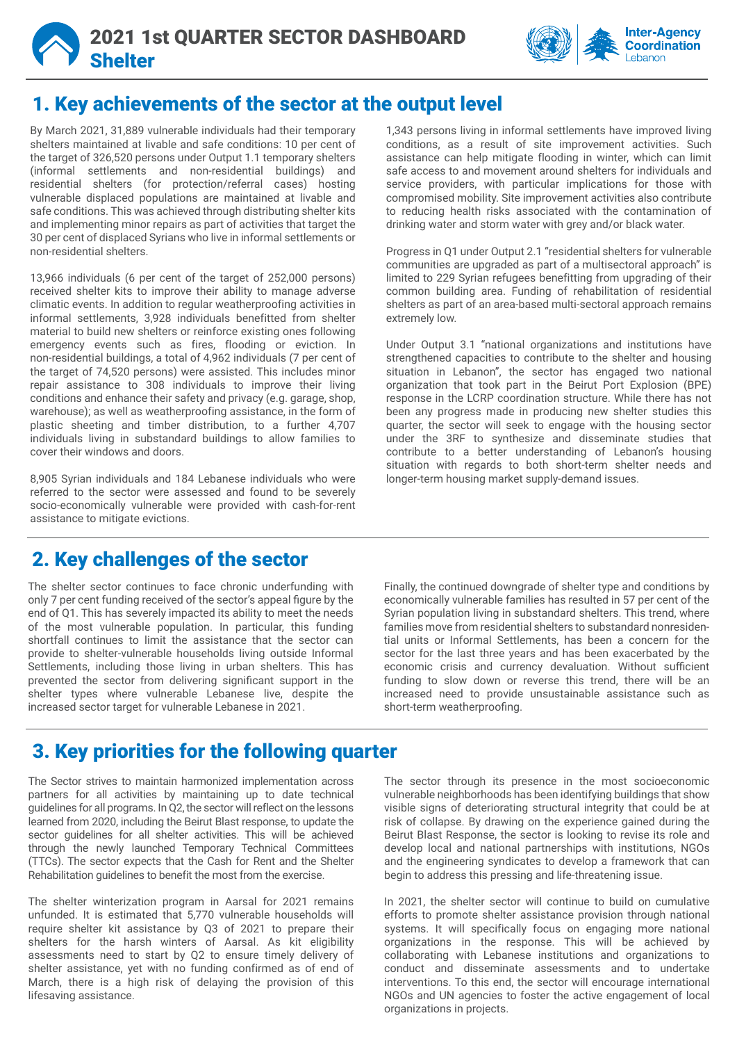



## 1. Key achievements of the sector at the output level

By March 2021, 31,889 vulnerable individuals had their temporary shelters maintained at livable and safe conditions: 10 per cent of the target of 326,520 persons under Output 1.1 temporary shelters (informal settlements and non-residential buildings) and residential shelters (for protection/referral cases) hosting vulnerable displaced populations are maintained at livable and safe conditions. This was achieved through distributing shelter kits and implementing minor repairs as part of activities that target the 30 per cent of displaced Syrians who live in informal settlements or non-residential shelters.

13,966 individuals (6 per cent of the target of 252,000 persons) received shelter kits to improve their ability to manage adverse climatic events. In addition to regular weatherproofing activities in informal settlements, 3,928 individuals benefitted from shelter material to build new shelters or reinforce existing ones following emergency events such as fires, flooding or eviction. In non-residential buildings, a total of 4,962 individuals (7 per cent of the target of 74,520 persons) were assisted. This includes minor repair assistance to 308 individuals to improve their living conditions and enhance their safety and privacy (e.g. garage, shop, warehouse); as well as weatherproofing assistance, in the form of plastic sheeting and timber distribution, to a further 4,707 individuals living in substandard buildings to allow families to cover their windows and doors.

8,905 Syrian individuals and 184 Lebanese individuals who were referred to the sector were assessed and found to be severely socio-economically vulnerable were provided with cash-for-rent assistance to mitigate evictions.

## 2. Key challenges of the sector

The shelter sector continues to face chronic underfunding with only 7 per cent funding received of the sector's appeal figure by the end of Q1. This has severely impacted its ability to meet the needs of the most vulnerable population. In particular, this funding shortfall continues to limit the assistance that the sector can provide to shelter-vulnerable households living outside Informal Settlements, including those living in urban shelters. This has prevented the sector from delivering significant support in the shelter types where vulnerable Lebanese live, despite the increased sector target for vulnerable Lebanese in 2021.

1,343 persons living in informal settlements have improved living conditions, as a result of site improvement activities. Such assistance can help mitigate flooding in winter, which can limit safe access to and movement around shelters for individuals and service providers, with particular implications for those with compromised mobility. Site improvement activities also contribute to reducing health risks associated with the contamination of drinking water and storm water with grey and/or black water.

Progress in Q1 under Output 2.1 "residential shelters for vulnerable communities are upgraded as part of a multisectoral approach" is limited to 229 Syrian refugees benefitting from upgrading of their common building area. Funding of rehabilitation of residential shelters as part of an area-based multi-sectoral approach remains extremely low.

Under Output 3.1 "national organizations and institutions have strengthened capacities to contribute to the shelter and housing situation in Lebanon", the sector has engaged two national organization that took part in the Beirut Port Explosion (BPE) response in the LCRP coordination structure. While there has not been any progress made in producing new shelter studies this quarter, the sector will seek to engage with the housing sector under the 3RF to synthesize and disseminate studies that contribute to a better understanding of Lebanon's housing situation with regards to both short-term shelter needs and longer-term housing market supply-demand issues.

Finally, the continued downgrade of shelter type and conditions by economically vulnerable families has resulted in 57 per cent of the Syrian population living in substandard shelters. This trend, where families move from residential shelters to substandard nonresidential units or Informal Settlements, has been a concern for the sector for the last three years and has been exacerbated by the economic crisis and currency devaluation. Without sufficient funding to slow down or reverse this trend, there will be an increased need to provide unsustainable assistance such as short-term weatherproofing.

## 3. Key priorities for the following quarter

The Sector strives to maintain harmonized implementation across partners for all activities by maintaining up to date technical guidelines for all programs. In Q2, the sector will reflect on the lessons learned from 2020, including the Beirut Blast response, to update the sector guidelines for all shelter activities. This will be achieved through the newly launched Temporary Technical Committees (TTCs). The sector expects that the Cash for Rent and the Shelter Rehabilitation guidelines to benefit the most from the exercise.

The shelter winterization program in Aarsal for 2021 remains unfunded. It is estimated that 5,770 vulnerable households will require shelter kit assistance by Q3 of 2021 to prepare their shelters for the harsh winters of Aarsal. As kit eligibility assessments need to start by Q2 to ensure timely delivery of shelter assistance, yet with no funding confirmed as of end of March, there is a high risk of delaying the provision of this lifesaving assistance.

The sector through its presence in the most socioeconomic vulnerable neighborhoods has been identifying buildings that show visible signs of deteriorating structural integrity that could be at risk of collapse. By drawing on the experience gained during the Beirut Blast Response, the sector is looking to revise its role and develop local and national partnerships with institutions, NGOs and the engineering syndicates to develop a framework that can begin to address this pressing and life-threatening issue.

In 2021, the shelter sector will continue to build on cumulative efforts to promote shelter assistance provision through national systems. It will specifically focus on engaging more national organizations in the response. This will be achieved by collaborating with Lebanese institutions and organizations to conduct and disseminate assessments and to undertake interventions. To this end, the sector will encourage international NGOs and UN agencies to foster the active engagement of local organizations in projects.